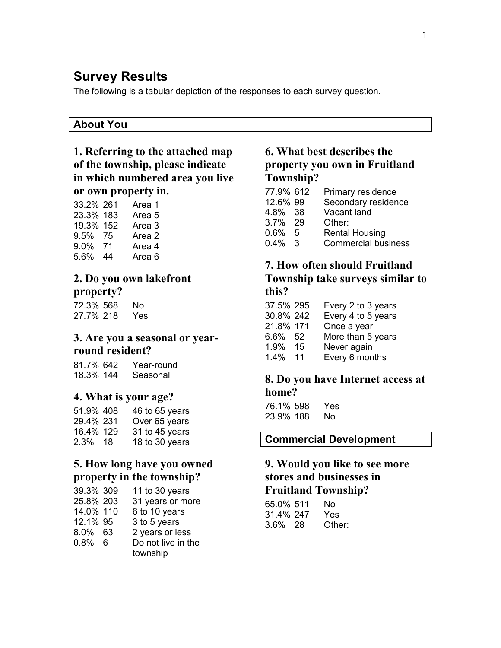# Survey Results

The following is a tabular depiction of the responses to each survey question.

#### About You

## 1. Referring to the attached map of the township, please indicate in which numbered area you live or own property in.

| 33.2% 261 |    | Area 1            |
|-----------|----|-------------------|
| 23.3% 183 |    | Area <sub>5</sub> |
| 19.3% 152 |    | Area 3            |
| 9.5% 75   |    | Area 2            |
| 9.0% 71   |    | Area 4            |
| 5.6%      | 44 | Area <sub>6</sub> |

#### 2. Do you own lakefront property?

72.3% 568 No 27.7% 218 Yes

#### 3. Are you a seasonal or yearround resident?

81.7% 642 Year-round 18.3% 144 Seasonal

#### 4. What is your age?

| 51.9% 408 | 46 to 65 years |
|-----------|----------------|
| 29.4% 231 | Over 65 years  |
| 16.4% 129 | 31 to 45 years |
| 2.3% 18   | 18 to 30 years |

#### 5. How long have you owned property in the township?

| 39.3% 309 | 11 to 30 years     |
|-----------|--------------------|
| 25.8% 203 | 31 years or more   |
| 14.0% 110 | 6 to 10 years      |
| 12.1% 95  | 3 to 5 years       |
| 8.0% 63   | 2 years or less    |
| $0.8\%$ 6 | Do not live in the |
|           | township           |

#### 6. What best describes the property you own in Fruitland Township?

| 77.9% 612 |   | Primary residence          |
|-----------|---|----------------------------|
| 12.6% 99  |   | Secondary residence        |
| 4.8% 38   |   | Vacant land                |
| 3.7% 29   |   | Other:                     |
| 0.6%      | 5 | <b>Rental Housing</b>      |
| $0.4\%$ 3 |   | <b>Commercial business</b> |
|           |   |                            |

# 7. How often should Fruitland

Township take surveys similar to this?

| 37.5% 295 |     | Every 2 to 3 years |
|-----------|-----|--------------------|
| 30.8% 242 |     | Every 4 to 5 years |
| 21.8% 171 |     | Once a year        |
| 6.6%      | 52  | More than 5 years  |
| $1.9\%$   | -15 | Never again        |
| 1.4%      | 11  | Every 6 months     |

#### 8. Do you have Internet access at home?

76.1% 598 Yes 23.9% 188 No

#### Commercial Development

## 9. Would you like to see more stores and businesses in Fruitland Township?

| 65.0% 511  | Nο     |
|------------|--------|
| 31.4% 247  | Yes.   |
| $3.6\%$ 28 | Other: |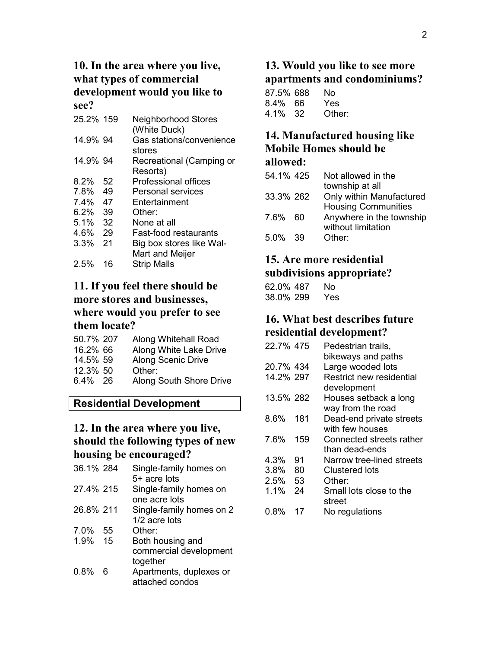#### 10. In the area where you live, what types of commercial development would you like to see?

| 25.2% 159 |    | <b>Neighborhood Stores</b><br>(White Duck) |
|-----------|----|--------------------------------------------|
| 14.9% 94  |    | Gas stations/convenience                   |
|           |    | stores                                     |
| 14.9% 94  |    | Recreational (Camping or                   |
|           |    | Resorts)                                   |
| 8.2%      | 52 | Professional offices                       |
| 7.8%      | 49 | Personal services                          |
| $7.4\%$   | 47 | Entertainment                              |
| 6.2% 39   |    | Other:                                     |
| 5.1%      | 32 | None at all                                |
| 4.6%      | 29 | <b>Fast-food restaurants</b>               |
| 3.3%      | 21 | Big box stores like Wal-                   |
|           |    | Mart and Meijer                            |
| 2.5%      | 16 | <b>Strip Malls</b>                         |

#### 11. If you feel there should be more stores and businesses, where would you prefer to see them locate?

| 50.7% 207 | Along Whitehall Road      |
|-----------|---------------------------|
| 16.2% 66  | Along White Lake Drive    |
| 14.5% 59  | <b>Along Scenic Drive</b> |
| 12.3% 50  | Other:                    |
| 6.4% 26   | Along South Shore Drive   |

# Residential Development

#### 12. In the area where you live, should the following types of new housing be encouraged?

| 36.1% 284 |     | Single-family homes on<br>5+ acre lots                 |
|-----------|-----|--------------------------------------------------------|
| 27.4% 215 |     | Single-family homes on<br>one acre lots                |
| 26.8% 211 |     | Single-family homes on 2<br>1/2 acre lots              |
| $7.0\%$   | 55  | Other:                                                 |
| 1.9%      | -15 | Both housing and<br>commercial development<br>together |
| 0.8%      | 6   | Apartments, duplexes or<br>attached condos             |

# 13. Would you like to see more apartments and condominiums?

| 87.5% 688 | Nο     |
|-----------|--------|
| 8.4% 66   | Yes.   |
| 4.1% 32   | Other: |

#### 14. Manufactured housing like Mobile Homes should be allowed:

# $54.10/125$  Not allowed in the

| $54.1\%$ 425 | Not allowed in the         |
|--------------|----------------------------|
|              | township at all            |
| 33.3% 262    | Only within Manufactured   |
|              | <b>Housing Communities</b> |
| 7.6% 60      | Anywhere in the township   |
|              | without limitation         |
| 5.0% 39      | Other:                     |
|              |                            |

#### 15. Are more residential

### subdivisions appropriate?

| 62.0% 487 | N٥  |
|-----------|-----|
| 38.0% 299 | Yes |

### 16. What best describes future residential development?

| 22.7% 475 |     | Pedestrian trails,        |
|-----------|-----|---------------------------|
|           |     | bikeways and paths        |
| 20.7% 434 |     | Large wooded lots         |
| 14.2% 297 |     | Restrict new residential  |
|           |     | development               |
| 13.5% 282 |     | Houses setback a long     |
|           |     | way from the road         |
| 8.6%      | 181 | Dead-end private streets  |
|           |     | with few houses           |
| 7.6%      | 159 | Connected streets rather  |
|           |     | than dead-ends            |
| 4.3%      | 91  | Narrow tree-lined streets |
| 3.8%      | 80  | Clustered lots            |
| 2.5%      | 53  | Other:                    |
| 1.1%      | 24  | Small lots close to the   |
|           |     | street                    |
| 0.8%      | 17  | No regulations            |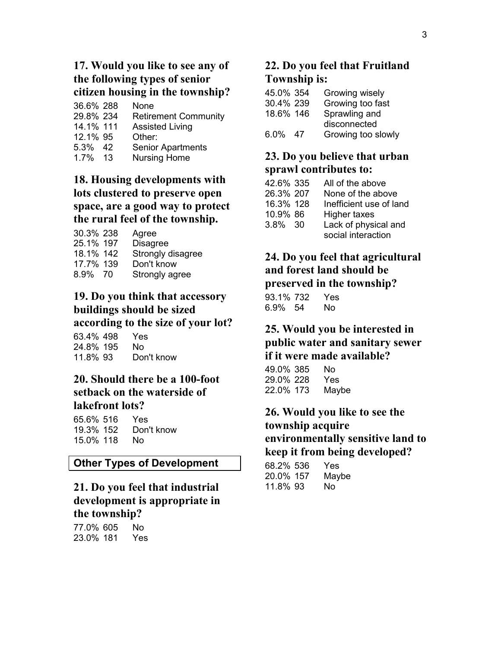## 17. Would you like to see any of the following types of senior citizen housing in the township?

| 36.6% 288 | None                        |
|-----------|-----------------------------|
| 29.8% 234 | <b>Retirement Community</b> |
| 14.1% 111 | <b>Assisted Living</b>      |
| 12.1% 95  | Other:                      |
| 5.3% 42   | <b>Senior Apartments</b>    |
| 1.7% 13   | <b>Nursing Home</b>         |

#### 18. Housing developments with lots clustered to preserve open space, are a good way to protect the rural feel of the township.

| 30.3% 238 | Agree             |
|-----------|-------------------|
| 25.1% 197 | <b>Disagree</b>   |
| 18.1% 142 | Strongly disagree |
| 17.7% 139 | Don't know        |
| 8.9% 70   | Strongly agree    |

#### 19. Do you think that accessory buildings should be sized according to the size of your lot?

| 63.4% 498 | Yes        |
|-----------|------------|
| 24.8% 195 | Nο         |
| 11.8% 93  | Don't know |

#### 20. Should there be a 100-foot setback on the waterside of lakefront lots?

| 65.6% 516 | Yes.       |
|-----------|------------|
| 19.3% 152 | Don't know |
| 15.0% 118 | N٥         |

#### Other Types of Development

#### 21. Do you feel that industrial development is appropriate in the township?

77.0% 605 No 23.0% 181 Yes

# 22. Do you feel that Fruitland Township is:

| 45.0% 354 |    | Growing wisely     |
|-----------|----|--------------------|
| 30.4% 239 |    | Growing too fast   |
| 18.6% 146 |    | Sprawling and      |
|           |    | disconnected       |
| $6.0\%$   | 47 | Growing too slowly |

# 23. Do you believe that urban sprawl contributes to:

| 42.6% 335 | All of the above        |
|-----------|-------------------------|
| 26.3% 207 | None of the above       |
| 16.3% 128 | Inefficient use of land |
| 10.9% 86  | Higher taxes            |
| 3.8% 30   | Lack of physical and    |
|           | social interaction      |

#### 24. Do you feel that agricultural and forest land should be preserved in the township? .<br>ש 10/<del>7</del>22 V*e*

| 93.1% 732 |    | Yes |
|-----------|----|-----|
| 6.9%      | 54 | No. |

#### 25. Would you be interested in public water and sanitary sewer if it were made available?

49.0% 385 No 29.0% 228 Yes 22.0% 173 Maybe

## 26. Would you like to see the township acquire environmentally sensitive land to keep it from being developed?

| 68.2% 536 | Yes   |
|-----------|-------|
| 20.0% 157 | Maybe |
| 11.8% 93  | Nο    |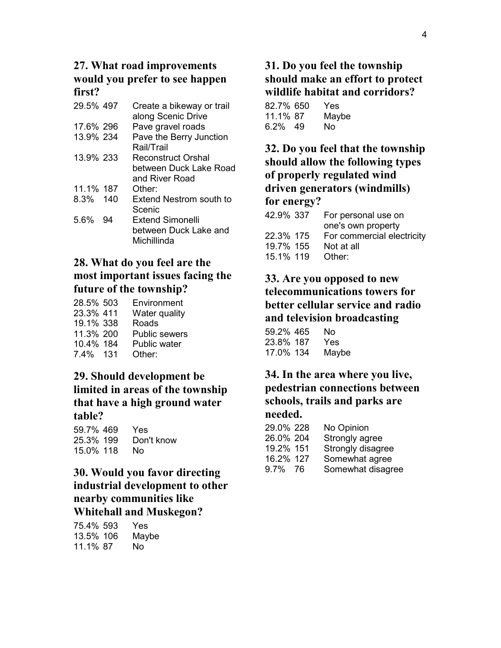#### 27. What road improvements would you prefer to see happen first?

| 29.5% 497   |    | Create a bikeway or trail<br>along Scenic Drive |
|-------------|----|-------------------------------------------------|
| 17.6% 296   |    | Pave gravel roads                               |
| 13.9% 234   |    | Pave the Berry Junction<br>Rail/Trail           |
| 13.9% 233   |    | Reconstruct Orshal<br>between Duck Lake Road    |
|             |    | and River Road                                  |
| 11.1% 187   |    | Other:                                          |
| $8.3\%$ 140 |    | Extend Nestrom south to<br>Scenic               |
| 5.6%        | 94 | Extend Simonelli                                |
|             |    | between Duck Lake and                           |
|             |    | Michillinda                                     |

#### 28. What do you feel are the most important issues facing the future of the township?

| 28.5% 503 | Environment          |
|-----------|----------------------|
| 23.3% 411 | Water quality        |
| 19.1% 338 | Roads                |
| 11.3% 200 | <b>Public sewers</b> |
| 10.4% 184 | Public water         |
| 7.4% 131  | Other:               |

#### 29. Should development be limited in areas of the township that have a high ground water table?

| 59.7% 469 | Yes        |
|-----------|------------|
| 25.3% 199 | Don't know |
| 15.0% 118 | N٥         |

## 30. Would you favor directing industrial development to other nearby communities like Whitehall and Muskegon?

| 75.4% 593 | Yes   |
|-----------|-------|
| 13.5% 106 | Maybe |
| 11.1% 87  | Nο    |

# 31. Do you feel the township should make an effort to protect wildlife habitat and corridors?

| 82.7% 650 | Yes   |
|-----------|-------|
| 11.1% 87  | Maybe |
| 6.2% 49   | N٥    |

## 32. Do you feel that the township should allow the following types of properly regulated wind driven generators (windmills) for energy?

| 42.9% 337 | For personal use on        |
|-----------|----------------------------|
|           | one's own property         |
| 22.3% 175 | For commercial electricity |
| 19.7% 155 | Not at all                 |
| 15.1% 119 | Other:                     |
|           |                            |

## 33. Are you opposed to new telecommunications towers for better cellular service and radio and television broadcasting

| 59.2% 465 | N٥    |
|-----------|-------|
| 23.8% 187 | Yes.  |
| 17.0% 134 | Maybe |

## 34. In the area where you live, pedestrian connections between schools, trails and parks are needed.

| 29.0% 228 |     | No Opinion        |
|-----------|-----|-------------------|
| 26.0% 204 |     | Strongly agree    |
| 19.2% 151 |     | Strongly disagree |
| 16.2% 127 |     | Somewhat agree    |
| 9.7%      | -76 | Somewhat disagree |